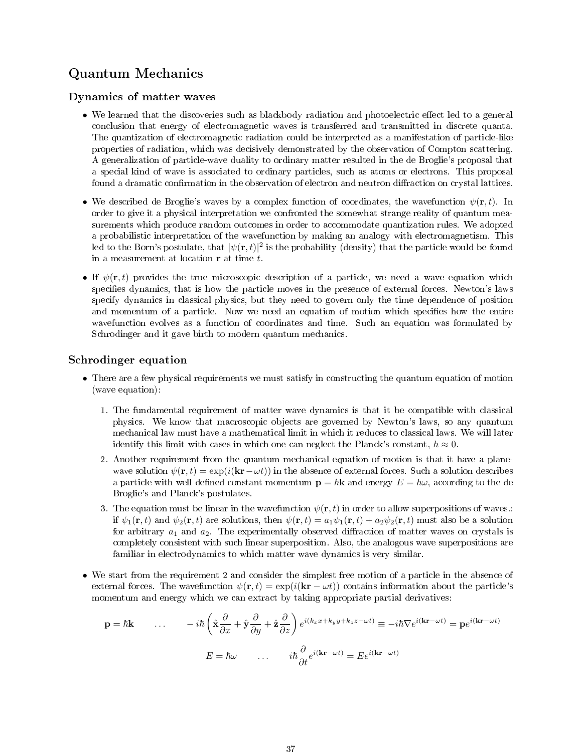# Quantum Mechanics

### Dynamics of matter waves

- We learned that the discoveries such as blackbody radiation and photoelectric effect led to a general conclusion that energy of electromagnetic waves is transferred and transmitted in discrete quanta. The quantization of electromagnetic radiation could be interpreted as a manifestation of particle-like properties of radiation, which was decisively demonstrated by the observation of Compton scattering. A generalization of particle-wave duality to ordinary matter resulted in the de Broglie's proposal that a special kind of wave is associated to ordinary particles, such as atoms or electrons. This proposal found a dramatic confirmation in the observation of electron and neutron diffraction on crystal lattices.
- We described de Broglie's waves by a complex function of coordinates, the wavefunction  $\psi(\mathbf{r}, t)$ . In order to give it a physical interpretation we confronted the somewhat strange reality of quantum measurements which produce random outcomes in order to accommodate quantization rules. We adopted a probabilistic interpretation of the wavefunction by making an analogy with electromagnetism. This led to the Born's postulate, that  $|\psi(\mathbf{r},t)|^2$  is the probability (density) that the particle would be found in a measurement at location r at time t.
- If  $\psi(\mathbf{r},t)$  provides the true microscopic description of a particle, we need a wave equation which specifies dynamics, that is how the particle moves in the presence of external forces. Newton's laws specify dynamics in classical physics, but they need to govern only the time dependence of position and momentum of a particle. Now we need an equation of motion which specifies how the entire wavefunction evolves as a function of coordinates and time. Such an equation was formulated by Schrodinger and it gave birth to modern quantum mechanics.

### Schrodinger equation

- There are a few physical requirements we must satisfy in constructing the quantum equation of motion (wave equation):
	- 1. The fundamental requirement of matter wave dynamics is that it be compatible with classical physics. We know that macroscopic objects are governed by Newton's laws, so any quantum mechanical law must have a mathematical limit in which it reduces to classical laws. We will later identify this limit with cases in which one can neglect the Planck's constant,  $h \approx 0$ .
	- 2. Another requirement from the quantum mechanical equation of motion is that it have a planewave solution  $\psi(\mathbf{r},t) = \exp(i(\mathbf{k}\mathbf{r}-\omega t))$  in the absence of external forces. Such a solution describes a particle with well defined constant momentum  $\mathbf{p} = \hbar \mathbf{k}$  and energy  $E = \hbar \omega$ , according to the de Broglie's and Planck's postulates.
	- 3. The equation must be linear in the wavefunction  $\psi(\mathbf{r},t)$  in order to allow superpositions of waves.: if  $\psi_1(\mathbf{r}, t)$  and  $\psi_2(\mathbf{r}, t)$  are solutions, then  $\psi(\mathbf{r}, t) = a_1 \psi_1(\mathbf{r}, t) + a_2 \psi_2(\mathbf{r}, t)$  must also be a solution for arbitrary  $a_1$  and  $a_2$ . The experimentally observed diffraction of matter waves on crystals is completely consistent with such linear superposition. Also, the analogous wave superpositions are familiar in electrodynamics to which matter wave dynamics is very similar.
- We start from the requirement 2 and consider the simplest free motion of a particle in the absence of external forces. The wavefunction  $\psi(\mathbf{r}, t) = \exp(i(\mathbf{kr} - \omega t))$  contains information about the particle's momentum and energy which we can extract by taking appropriate partial derivatives:

$$
\mathbf{p} = \hbar \mathbf{k} \qquad \dots \qquad -i\hbar \left( \hat{\mathbf{x}} \frac{\partial}{\partial x} + \hat{\mathbf{y}} \frac{\partial}{\partial y} + \hat{\mathbf{z}} \frac{\partial}{\partial z} \right) e^{i(k_x x + k_y y + k_z z - \omega t)} \equiv -i\hbar \nabla e^{i(\mathbf{k} \mathbf{r} - \omega t)} = \mathbf{p} e^{i(\mathbf{k} \mathbf{r} - \omega t)}
$$

$$
E = \hbar \omega \qquad \dots \qquad i\hbar \frac{\partial}{\partial t} e^{i(\mathbf{k} \mathbf{r} - \omega t)} = E e^{i(\mathbf{k} \mathbf{r} - \omega t)}
$$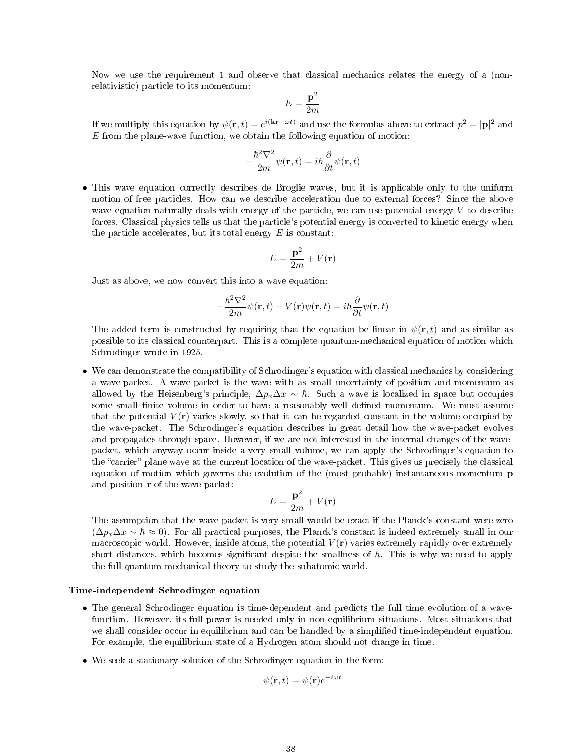Now we use the requirement 1 and observe that classical mechanics relates the energy of a (nonrelativistic) particle to its momentum:

$$
E=\frac{\mathbf{p}^2}{2m}
$$

If we multiply this equation by  $\psi(\mathbf{r},t) = e^{i(\mathbf{kr}-\omega t)}$  and use the formulas above to extract  $p^2 = |\mathbf{p}|^2$  and  $E$  from the plane-wave function, we obtain the following equation of motion:

$$
-\frac{\hbar^2\nabla^2}{2m}\psi(\mathbf{r},t)=i\hbar\frac{\partial}{\partial t}\psi(\mathbf{r},t)
$$

• This wave equation correctly describes de Broglie waves, but it is applicable only to the uniform motion of free particles. How can we describe acceleration due to external forces? Since the above wave equation naturally deals with energy of the particle, we can use potential energy  $V$  to describe forces. Classical physics tells us that the particle's potential energy is converted to kinetic energy when the particle accelerates, but its total energy  $E$  is constant:

$$
E = \frac{\mathbf{p}^2}{2m} + V(\mathbf{r})
$$

Just as above, we now convert this into a wave equation:

$$
-\frac{\hbar^2\nabla^2}{2m}\psi(\mathbf{r},t)+V(\mathbf{r})\psi(\mathbf{r},t)=i\hbar\frac{\partial}{\partial t}\psi(\mathbf{r},t)
$$

The added term is constructed by requiring that the equation be linear in  $\psi(\mathbf{r},t)$  and as similar as possible to its classical counterpart. This is a complete quantum-mechanical equation of motion which Schrodinger wrote in 1925.

• We can demonstrate the compatibility of Schrodinger's equation with classical mechanics by considering a wave-packet. A wave-packet is the wave with as small uncertainty of position and momentum as allowed by the Heisenberg's principle,  $\Delta p_x \Delta x \sim \hbar$ . Such a wave is localized in space but occupies some small finite volume in order to have a reasonably well defined momentum. We must assume that the potential  $V(\mathbf{r})$  varies slowly, so that it can be regarded constant in the volume occupied by the wave-packet. The Schrodinger's equation describes in great detail how the wave-packet evolves and propagates through space. However, if we are not interested in the internal changes of the wavepacket, which anyway occur inside a very small volume, we can apply the Schrodinger's equation to the "carrier" plane wave at the current location of the wave-packet. This gives us precisely the classical equation of motion which governs the evolution of the (most probable) instantaneous momentum p and position r of the wave-packet:

$$
E = \frac{\mathbf{p}^2}{2m} + V(\mathbf{r})
$$

The assumption that the wave-packet is very small would be exact if the Planck's constant were zero  $(\Delta p_x \Delta x \sim \hbar \approx 0)$ . For all practical purposes, the Planck's constant is indeed extremely small in our macroscopic world. However, inside atoms, the potential  $V(\mathbf{r})$  varies extremely rapidly over extremely short distances, which becomes significant despite the smallness of  $h$ . This is why we need to apply the full quantum-mechanical theory to study the subatomic world.

### Time-independent Schrodinger equation

- The general Schrodinger equation is time-dependent and predicts the full time evolution of a wavefunction. However, its full power is needed only in non-equilibrium situations. Most situations that we shall consider occur in equilibrium and can be handled by a simplified time-independent equation. For example, the equilibrium state of a Hydrogen atom should not change in time.
- We seek a stationary solution of the Schrodinger equation in the form:

$$
\psi(\mathbf{r},t) = \psi(\mathbf{r})e^{-i\omega t}
$$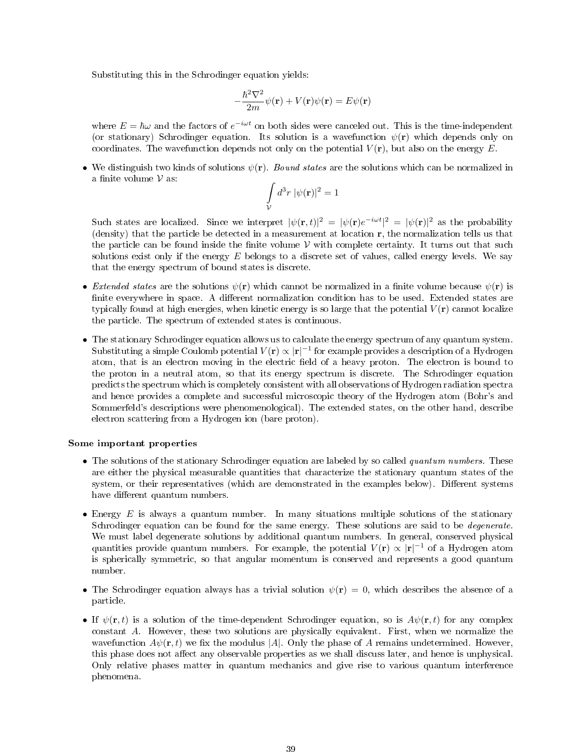Substituting this in the Schrodinger equation yields:

$$
-\frac{\hbar^2 \nabla^2}{2m} \psi(\mathbf{r}) + V(\mathbf{r}) \psi(\mathbf{r}) = E \psi(\mathbf{r})
$$

where  $E = \hbar \omega$  and the factors of  $e^{-i\omega t}$  on both sides were canceled out. This is the time-independent (or stationary) Schrodinger equation. Its solution is a wavefunction  $\psi(\mathbf{r})$  which depends only on coordinates. The wavefunction depends not only on the potential  $V(\mathbf{r})$ , but also on the energy E.

• We distinguish two kinds of solutions  $\psi(\mathbf{r})$ . Bound states are the solutions which can be normalized in a finite volume  $\nu$  as:

$$
\int\limits_{\mathcal{V}} d^3r \; |\psi(\mathbf{r})|^2 = 1
$$

Such states are localized. Since we interpret  $|\psi(\mathbf{r},t)|^2 = |\psi(\mathbf{r})e^{-i\omega t}|^2 = |\psi(\mathbf{r})|^2$  as the probability (density) that the particle be detected in a measurement at location r, the normalization tells us that the particle can be found inside the finite volume  $V$  with complete certainty. It turns out that such solutions exist only if the energy  $E$  belongs to a discrete set of values, called energy levels. We say that the energy spectrum of bound states is discrete.

- Extended states are the solutions  $\psi(\mathbf{r})$  which cannot be normalized in a finite volume because  $\psi(\mathbf{r})$  is finite everywhere in space. A different normalization condition has to be used. Extended states are typically found at high energies, when kinetic energy is so large that the potential  $V(\mathbf{r})$  cannot localize the particle. The spectrum of extended states is continuous.
- The stationary Schrodinger equation allows us to calculate the energy spectrum of any quantum system. Substituting a simple Coulomb potential  $V({\bf r})\propto |{\bf r}|^{-1}$  for example provides a description of a Hydrogen atom, that is an electron moving in the electric field of a heavy proton. The electron is bound to the proton in a neutral atom, so that its energy spectrum is discrete. The Schrodinger equation predicts the spectrum which is completely consistent with all observations of Hydrogen radiation spectra and hence provides a complete and successful microscopic theory of the Hydrogen atom (Bohr's and Sommerfeld's descriptions were phenomenological). The extended states, on the other hand, describe electron scattering from a Hydrogen ion (bare proton).

#### Some important properties

- The solutions of the stationary Schrodinger equation are labeled by so called *quantum numbers*. These are either the physical measurable quantities that characterize the stationary quantum states of the system, or their representatives (which are demonstrated in the examples below). Different systems have different quantum numbers.
- Energy  $E$  is always a quantum number. In many situations multiple solutions of the stationary Schrodinger equation can be found for the same energy. These solutions are said to be *degenerate*. We must label degenerate solutions by additional quantum numbers. In general, conserved physical quantities provide quantum numbers. For example, the potential  $V(\mathbf{r}) \propto |\mathbf{r}|^{-1}$  of a Hydrogen atom is spherically symmetric, so that angular momentum is conserved and represents a good quantum number.
- The Schrodinger equation always has a trivial solution  $\psi(\mathbf{r}) = 0$ , which describes the absence of a particle.
- If  $\psi(\mathbf{r},t)$  is a solution of the time-dependent Schrodinger equation, so is  $A\psi(\mathbf{r},t)$  for any complex constant A. However, these two solutions are physically equivalent. First, when we normalize the wavefunction  $A\psi(\mathbf{r},t)$  we fix the modulus |A|. Only the phase of A remains undetermined. However, this phase does not affect any observable properties as we shall discuss later, and hence is unphysical. Only relative phases matter in quantum mechanics and give rise to various quantum interference phenomena.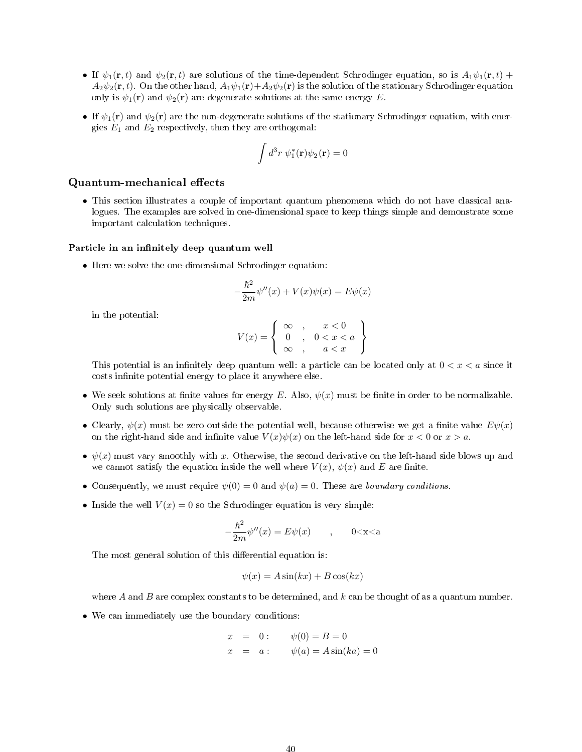- If  $\psi_1(\mathbf{r}, t)$  and  $\psi_2(\mathbf{r}, t)$  are solutions of the time-dependent Schrodinger equation, so is  $A_1\psi_1(\mathbf{r}, t)$  +  $A_2\psi_2(\mathbf{r},t)$ . On the other hand,  $A_1\psi_1(\mathbf{r})+A_2\psi_2(\mathbf{r})$  is the solution of the stationary Schrodinger equation only is  $\psi_1(\mathbf{r})$  and  $\psi_2(\mathbf{r})$  are degenerate solutions at the same energy E.
- If  $\psi_1(\mathbf{r})$  and  $\psi_2(\mathbf{r})$  are the non-degenerate solutions of the stationary Schrodinger equation, with energies  $E_1$  and  $E_2$  respectively, then they are orthogonal:

$$
\int d^3r \ \psi_1^*(\mathbf{r})\psi_2(\mathbf{r}) = 0
$$

### Quantum-mechanical effects

• This section illustrates a couple of important quantum phenomena which do not have classical analogues. The examples are solved in one-dimensional space to keep things simple and demonstrate some important calculation techniques.

#### Particle in an infinitely deep quantum well

• Here we solve the one-dimensional Schrodinger equation:

$$
-\frac{\hbar^2}{2m}\psi''(x) + V(x)\psi(x) = E\psi(x)
$$

in the potential:

$$
V(x) = \left\{ \begin{array}{ll} \infty & , & x < 0 \\ 0 & , & 0 < x < a \\ \infty & , & a < x \end{array} \right\}
$$

This potential is an infinitely deep quantum well: a particle can be located only at  $0 < x < a$  since it costs infinite potential energy to place it anywhere else.

- We seek solutions at finite values for energy E. Also,  $\psi(x)$  must be finite in order to be normalizable. Only such solutions are physically observable.
- Clearly,  $\psi(x)$  must be zero outside the potential well, because otherwise we get a finite value  $E\psi(x)$ on the right-hand side and infinite value  $V(x)\psi(x)$  on the left-hand side for  $x < 0$  or  $x > a$ .
- $\psi(x)$  must vary smoothly with x. Otherwise, the second derivative on the left-hand side blows up and we cannot satisfy the equation inside the well where  $V(x)$ ,  $\psi(x)$  and E are finite.
- Consequently, we must require  $\psi(0) = 0$  and  $\psi(a) = 0$ . These are boundary conditions.
- Inside the well  $V(x) = 0$  so the Schrodinger equation is very simple:

$$
-\frac{\hbar^2}{2m}\psi''(x) = E\psi(x) \qquad , \qquad 0 < x < a
$$

The most general solution of this differential equation is:

$$
\psi(x) = A\sin(kx) + B\cos(kx)
$$

where A and B are complex constants to be determined, and  $k$  can be thought of as a quantum number.

• We can immediately use the boundary conditions:

$$
x = 0:
$$
  $\psi(0) = B = 0$   
\n $x = a:$   $\psi(a) = A \sin(ka) = 0$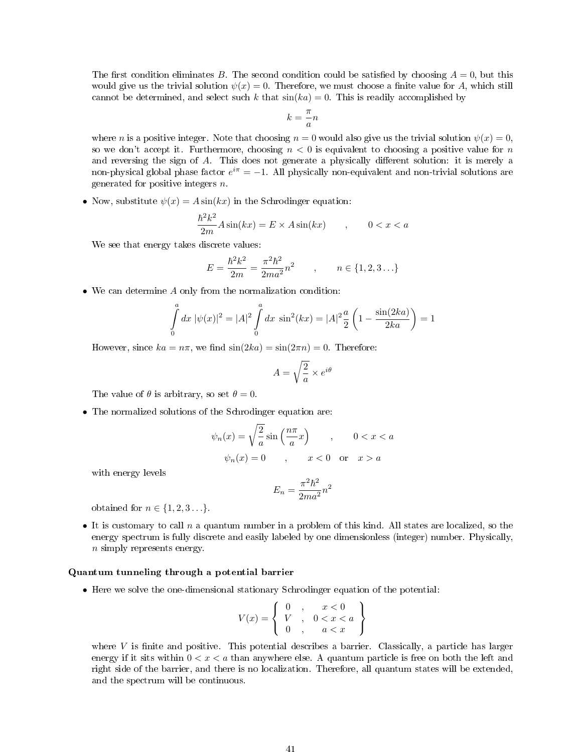The first condition eliminates B. The second condition could be satisfied by choosing  $A = 0$ , but this would give us the trivial solution  $\psi(x) = 0$ . Therefore, we must choose a finite value for A, which still cannot be determined, and select such k that  $sin(ka) = 0$ . This is readily accomplished by

$$
k=\frac{\pi}{a}n
$$

where n is a positive integer. Note that choosing  $n = 0$  would also give us the trivial solution  $\psi(x) = 0$ , so we don't accept it. Furthermore, choosing  $n < 0$  is equivalent to choosing a positive value for n and reversing the sign of  $A$ . This does not generate a physically different solution: it is merely a non-physical global phase factor  $e^{i\pi} = -1$ . All physically non-equivalent and non-trivial solutions are generated for positive integers  $n$ .

• Now, substitute  $\psi(x) = A \sin(kx)$  in the Schrodinger equation:

$$
\frac{\hbar^2 k^2}{2m} A \sin(kx) = E \times A \sin(kx) \qquad , \qquad 0 < x < a
$$

We see that energy takes discrete values:

$$
E = \frac{\hbar^2 k^2}{2m} = \frac{\pi^2 \hbar^2}{2ma^2} n^2 \qquad , \qquad n \in \{1, 2, 3 \ldots\}
$$

• We can determine A only from the normalization condition:

$$
\int_{0}^{a} dx \ |\psi(x)|^{2} = |A|^{2} \int_{0}^{a} dx \ \sin^{2}(kx) = |A|^{2} \frac{a}{2} \left( 1 - \frac{\sin(2ka)}{2ka} \right) = 1
$$

However, since  $ka = n\pi$ , we find  $sin(2ka) = sin(2\pi n) = 0$ . Therefore:

$$
A = \sqrt{\frac{2}{a}} \times e^{i\theta}
$$

The value of  $\theta$  is arbitrary, so set  $\theta = 0$ .

• The normalized solutions of the Schrodinger equation are:

$$
\psi_n(x) = \sqrt{\frac{2}{a}} \sin\left(\frac{n\pi}{a}x\right) , \qquad 0 < x < a
$$
\n
$$
\psi_n(x) = 0 , \qquad x < 0 \quad \text{or} \quad x > a
$$

with energy levels

$$
E_n = \frac{\pi^2 \hbar^2}{2ma^2} n^2
$$

obtained for  $n \in \{1, 2, 3 \ldots\}$ .

• It is customary to call  $n$  a quantum number in a problem of this kind. All states are localized, so the energy spectrum is fully discrete and easily labeled by one dimensionless (integer) number. Physically, n simply represents energy.

#### Quantum tunneling through a potential barrier

• Here we solve the one-dimensional stationary Schrodinger equation of the potential:

$$
V(x) = \left\{ \begin{array}{ccc} 0 & , & x < 0 \\ V & , & 0 < x < a \\ 0 & , & a < x \end{array} \right\}
$$

where  $V$  is finite and positive. This potential describes a barrier. Classically, a particle has larger energy if it sits within  $0 < x < a$  than anywhere else. A quantum particle is free on both the left and right side of the barrier, and there is no localization. Therefore, all quantum states will be extended, and the spectrum will be continuous.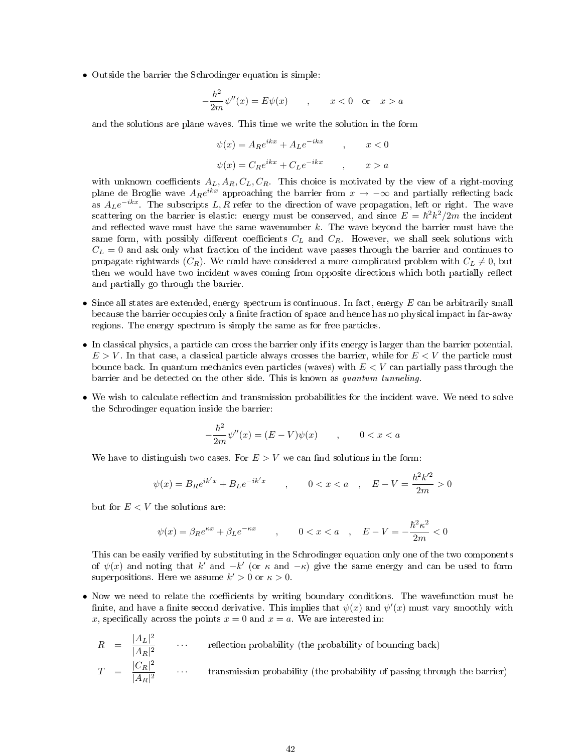• Outside the barrier the Schrodinger equation is simple:

$$
-\frac{\hbar^2}{2m}\psi''(x) = E\psi(x) \qquad , \qquad x < 0 \quad \text{or} \quad x > a
$$

and the solutions are plane waves. This time we write the solution in the form

$$
\psi(x) = A_R e^{ikx} + A_L e^{-ikx} \qquad , \qquad x < 0
$$

$$
\psi(x) = C_R e^{ikx} + C_L e^{-ikx} \qquad , \qquad x > a
$$

with unknown coefficients  $A_L, A_R, C_L, C_R$ . This choice is motivated by the view of a right-moving plane de Broglie wave  $A_R e^{ikx}$  approaching the barrier from  $x \to -\infty$  and partially reflecting back as  $A_L e^{-ikx}$ . The subscripts  $L, R$  refer to the direction of wave propagation, left or right. The wave scattering on the barrier is elastic: energy must be conserved, and since  $E = \hbar^2 k^2 / 2m$  the incident and reflected wave must have the same wavenumber  $k$ . The wave beyond the barrier must have the same form, with possibly different coefficients  $C_L$  and  $C_R$ . However, we shall seek solutions with  $C_L = 0$  and ask only what fraction of the incident wave passes through the barrier and continues to propagate rightwards  $(C_R)$ . We could have considered a more complicated problem with  $C_L \neq 0$ , but then we would have two incident waves coming from opposite directions which both partially reflect and partially go through the barrier.

- Since all states are extended, energy spectrum is continuous. In fact, energy  $E$  can be arbitrarily small because the barrier occupies only a finite fraction of space and hence has no physical impact in far-away regions. The energy spectrum is simply the same as for free particles.
- In classical physics, a particle can cross the barrier only if its energy is larger than the barrier potential,  $E > V$ . In that case, a classical particle always crosses the barrier, while for  $E < V$  the particle must bounce back. In quantum mechanics even particles (waves) with  $E < V$  can partially pass through the barrier and be detected on the other side. This is known as quantum tunneling.
- We wish to calculate reflection and transmission probabilities for the incident wave. We need to solve the Schrodinger equation inside the barrier:

$$
-\frac{\hbar^2}{2m}\psi''(x) = (E - V)\psi(x) \qquad , \qquad 0 < x < a
$$

We have to distinguish two cases. For  $E > V$  we can find solutions in the form:

$$
\psi(x) = B_R e^{ik'x} + B_L e^{-ik'x} \qquad , \qquad 0 < x < a \quad , \quad E - V = \frac{\hbar^2 k'^2}{2m} > 0
$$

but for  $E < V$  the solutions are:

$$
\psi(x)=\beta_R e^{\kappa x}+\beta_L e^{-\kappa x}\qquad,\qquad 0
$$

This can be easily verified by substituting in the Schrodinger equation only one of the two components of  $\psi(x)$  and noting that k' and  $-k'$  (or  $\kappa$  and  $-\kappa$ ) give the same energy and can be used to form superpositions. Here we assume  $k' > 0$  or  $\kappa > 0$ .

• Now we need to relate the coefficients by writing boundary conditions. The wavefunction must be finite, and have a finite second derivative. This implies that  $\psi(x)$  and  $\psi'(x)$  must vary smoothly with x, specifically across the points  $x = 0$  and  $x = a$ . We are interested in:

$$
R = \frac{|A_L|^2}{|A_R|^2} \qquad \cdots \qquad \text{reflection probability (the probability of bouncing back)}
$$
\n
$$
T = \frac{|C_R|^2}{|A_R|^2} \qquad \cdots \qquad \text{transmission probability (the probability of passing through the barrier)}
$$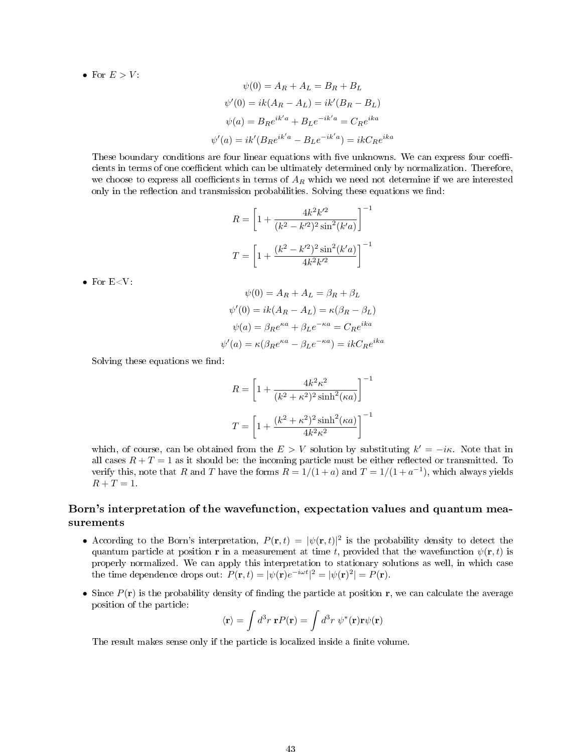• For  $E > V$ :

$$
\psi(0) = A_R + A_L = B_R + B_L
$$

$$
\psi'(0) = ik(A_R - A_L) = ik'(B_R - B_L)
$$

$$
\psi(a) = B_R e^{ik'a} + B_L e^{-ik'a} = C_R e^{ika}
$$

$$
\psi'(a) = ik'(B_R e^{ik'a} - B_L e^{-ik'a}) = ikC_R e^{ika}
$$

These boundary conditions are four linear equations with five unknowns. We can express four coefficients in terms of one coefficient which can be ultimately determined only by normalization. Therefore, we choose to express all coefficients in terms of  $A_R$  which we need not determine if we are interested only in the reflection and transmission probabilities. Solving these equations we find:

$$
R = \left[1 + \frac{4k^2k'^2}{(k^2 - k'^2)^2 \sin^2(k'a)}\right]^{-1}
$$

$$
T = \left[1 + \frac{(k^2 - k'^2)^2 \sin^2(k'a)}{4k^2k'^2}\right]^{-1}
$$

 $\bullet\,$  For E<V:

$$
\psi(0) = A_R + A_L = \beta_R + \beta_L
$$

$$
\psi'(0) = ik(A_R - A_L) = \kappa(\beta_R - \beta_L)
$$

$$
\psi(a) = \beta_R e^{\kappa a} + \beta_L e^{-\kappa a} = C_R e^{ika}
$$

$$
\psi'(a) = \kappa(\beta_R e^{\kappa a} - \beta_L e^{-\kappa a}) = ikC_R e^{ika}
$$

Solving these equations we find:

$$
R = \left[1 + \frac{4k^2\kappa^2}{(k^2 + \kappa^2)^2 \sinh^2(\kappa a)}\right]^{-1}
$$

$$
T = \left[1 + \frac{(k^2 + \kappa^2)^2 \sinh^2(\kappa a)}{4k^2\kappa^2}\right]^{-1}
$$

which, of course, can be obtained from the  $E > V$  solution by substituting  $k' = -i\kappa$ . Note that in all cases  $R + T = 1$  as it should be: the incoming particle must be either reflected or transmitted. To verify this, note that R and T have the forms  $R = 1/(1+a)$  and  $T = 1/(1+a^{-1})$ , which always yields  $R + T = 1.$ 

## Born's interpretation of the wavefunction, expectation values and quantum measurements

- According to the Born's interpretation,  $P(\mathbf{r},t) = |\psi(\mathbf{r},t)|^2$  is the probability density to detect the quantum particle at position r in a measurement at time t, provided that the wavefunction  $\psi(\mathbf{r},t)$  is properly normalized. We can apply this interpretation to stationary solutions as well, in which case the time dependence drops out:  $P(\mathbf{r},t) = |\psi(\mathbf{r})e^{-i\omega t}|^2 = |\psi(\mathbf{r})|^2 = P(\mathbf{r}).$
- Since  $P(\mathbf{r})$  is the probability density of finding the particle at position  $\mathbf{r}$ , we can calculate the average position of the particle:

$$
\langle \mathbf{r} \rangle = \int d^3 r \; \mathbf{r} P(\mathbf{r}) = \int d^3 r \; \psi^*(\mathbf{r}) \mathbf{r} \psi(\mathbf{r})
$$

The result makes sense only if the particle is localized inside a finite volume.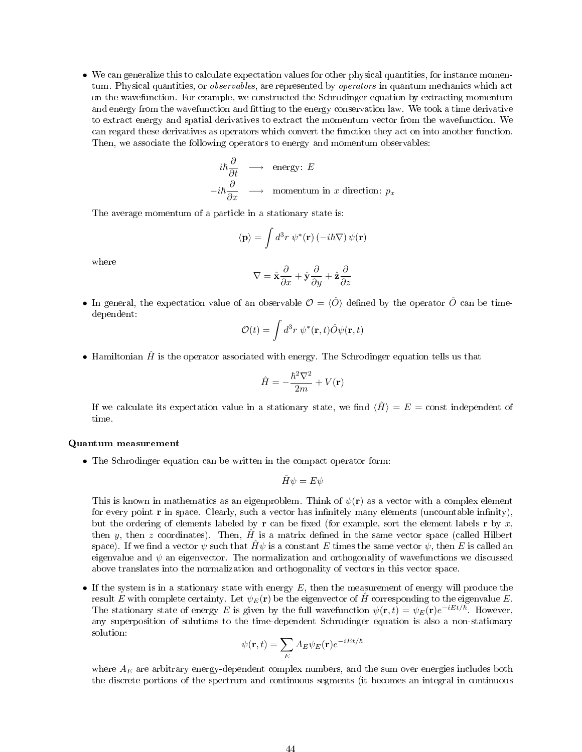• We can generalize this to calculate expectation values for other physical quantities, for instance momentum. Physical quantities, or *observables*, are represented by *operators* in quantum mechanics which act on the wavefunction. For example, we constructed the Schrodinger equation by extracting momentum and energy from the wavefunction and fitting to the energy conservation law. We took a time derivative to extract energy and spatial derivatives to extract the momentum vector from the wavefunction. We can regard these derivatives as operators which convert the function they act on into another function. Then, we associate the following operators to energy and momentum observables:

$$
i\hbar \frac{\partial}{\partial t} \longrightarrow \text{energy: } E
$$
  
-i\hbar \frac{\partial}{\partial x} \longrightarrow \text{momentum in } x \text{ direction: } p\_x

The average momentum of a particle in a stationary state is:

$$
\langle \mathbf{p} \rangle = \int d^3r \, \psi^*(\mathbf{r}) \left( -i\hbar \nabla \right) \psi(\mathbf{r})
$$

where

$$
\nabla = \hat{\mathbf{x}} \frac{\partial}{\partial x} + \hat{\mathbf{y}} \frac{\partial}{\partial y} + \hat{\mathbf{z}} \frac{\partial}{\partial z}
$$

• In general, the expectation value of an observable  $\mathcal{O} = \langle \hat{O} \rangle$  defined by the operator  $\hat{O}$  can be timedependent:

$$
\mathcal{O}(t) = \int d^3r \, \psi^*(\mathbf{r}, t) \hat{O} \psi(\mathbf{r}, t)
$$

• Hamiltonian  $\hat{H}$  is the operator associated with energy. The Schrodinger equation tells us that

$$
\hat{H}=-\frac{\hbar^2\nabla^2}{2m}+V(\textbf{r})
$$

If we calculate its expectation value in a stationary state, we find  $\langle \hat{H} \rangle = E = \text{const}$  independent of time.

#### Quantum measurement

• The Schrodinger equation can be written in the compact operator form:

$$
\hat{H}\psi = E\psi
$$

This is known in mathematics as an eigenproblem. Think of  $\psi(\mathbf{r})$  as a vector with a complex element for every point  $\bf{r}$  in space. Clearly, such a vector has infinitely many elements (uncountable infinity), but the ordering of elements labeled by r can be fixed (for example, sort the element labels r by x, then y, then z coordinates). Then,  $\hat{H}$  is a matrix defined in the same vector space (called Hilbert space). If we find a vector  $\psi$  such that  $\hat{H}\psi$  is a constant E times the same vector  $\psi$ , then E is called an eigenvalue and  $\psi$  an eigenvector. The normalization and orthogonality of wavefunctions we discussed above translates into the normalization and orthogonality of vectors in this vector space.

• If the system is in a stationary state with energy  $E$ , then the measurement of energy will produce the result E with complete certainty. Let  $\psi_E(\mathbf{r})$  be the eigenvector of H corresponding to the eigenvalue E. The stationary state of energy E is given by the full wavefunction  $\psi(\mathbf{r},t) = \psi_E(\mathbf{r})e^{-iEt/\hbar}$ . However, any superposition of solutions to the time-dependent Schrodinger equation is also a non-stationary solution:

$$
\psi(\mathbf{r},t)=\sum_{E}A_{E}\psi_{E}(\mathbf{r})e^{-iEt/\hbar}
$$

where  $A_E$  are arbitrary energy-dependent complex numbers, and the sum over energies includes both the discrete portions of the spectrum and continuous segments (it becomes an integral in continuous